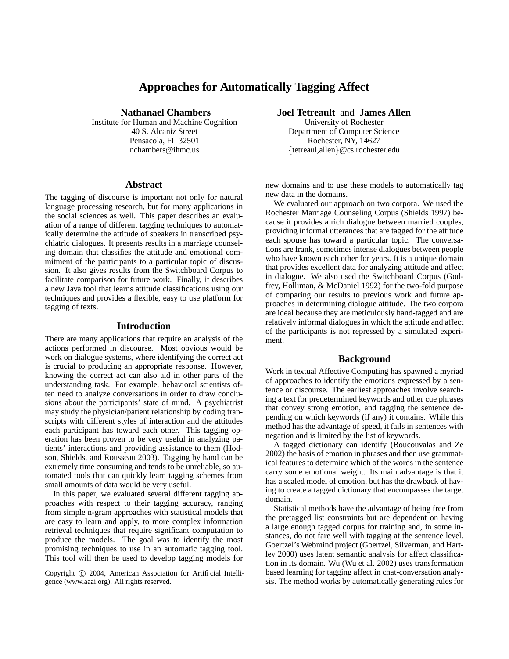# **Approaches for Automatically Tagging Affect**

**Nathanael Chambers**

Institute for Human and Machine Cognition 40 S. Alcaniz Street Pensacola, FL 32501 nchambers@ihmc.us

#### **Abstract**

The tagging of discourse is important not only for natural language processing research, but for many applications in the social sciences as well. This paper describes an evaluation of a range of different tagging techniques to automatically determine the attitude of speakers in transcribed psychiatric dialogues. It presents results in a marriage counseling domain that classifies the attitude and emotional commitment of the participants to a particular topic of discussion. It also gives results from the Switchboard Corpus to facilitate comparison for future work. Finally, it describes a new Java tool that learns attitude classifications using our techniques and provides a flexible, easy to use platform for tagging of texts.

## **Introduction**

There are many applications that require an analysis of the actions performed in discourse. Most obvious would be work on dialogue systems, where identifying the correct act is crucial to producing an appropriate response. However, knowing the correct act can also aid in other parts of the understanding task. For example, behavioral scientists often need to analyze conversations in order to draw conclusions about the participants' state of mind. A psychiatrist may study the physician/patient relationship by coding transcripts with different styles of interaction and the attitudes each participant has toward each other. This tagging operation has been proven to be very useful in analyzing patients' interactions and providing assistance to them (Hodson, Shields, and Rousseau 2003). Tagging by hand can be extremely time consuming and tends to be unreliable, so automated tools that can quickly learn tagging schemes from small amounts of data would be very useful.

In this paper, we evaluated several different tagging approaches with respect to their tagging accuracy, ranging from simple n-gram approaches with statistical models that are easy to learn and apply, to more complex information retrieval techniques that require significant computation to produce the models. The goal was to identify the most promising techniques to use in an automatic tagging tool. This tool will then be used to develop tagging models for

**Joel Tetreault** and **James Allen**

University of Rochester Department of Computer Science Rochester, NY, 14627 {tetreaul,allen}@cs.rochester.edu

new domains and to use these models to automatically tag new data in the domains.

We evaluated our approach on two corpora. We used the Rochester Marriage Counseling Corpus (Shields 1997) because it provides a rich dialogue between married couples, providing informal utterances that are tagged for the attitude each spouse has toward a particular topic. The conversations are frank, sometimes intense dialogues between people who have known each other for years. It is a unique domain that provides excellent data for analyzing attitude and affect in dialogue. We also used the Switchboard Corpus (Godfrey, Holliman, & McDaniel 1992) for the two-fold purpose of comparing our results to previous work and future approaches in determining dialogue attitude. The two corpora are ideal because they are meticulously hand-tagged and are relatively informal dialogues in which the attitude and affect of the participants is not repressed by a simulated experiment.

# **Background**

Work in textual Affective Computing has spawned a myriad of approaches to identify the emotions expressed by a sentence or discourse. The earliest approaches involve searching a text for predetermined keywords and other cue phrases that convey strong emotion, and tagging the sentence depending on which keywords (if any) it contains. While this method has the advantage of speed, it fails in sentences with negation and is limited by the list of keywords.

A tagged dictionary can identify (Boucouvalas and Ze 2002) the basis of emotion in phrases and then use grammatical features to determine which of the words in the sentence carry some emotional weight. Its main advantage is that it has a scaled model of emotion, but has the drawback of having to create a tagged dictionary that encompasses the target domain.

Statistical methods have the advantage of being free from the pretagged list constraints but are dependent on having a large enough tagged corpus for training and, in some instances, do not fare well with tagging at the sentence level. Goertzel's Webmind project (Goertzel, Silverman, and Hartley 2000) uses latent semantic analysis for affect classification in its domain. Wu (Wu et al. 2002) uses transformation based learning for tagging affect in chat-conversation analysis. The method works by automatically generating rules for

Copyright (c) 2004, American Association for Artificial Intelligence (www.aaai.org). All rights reserved.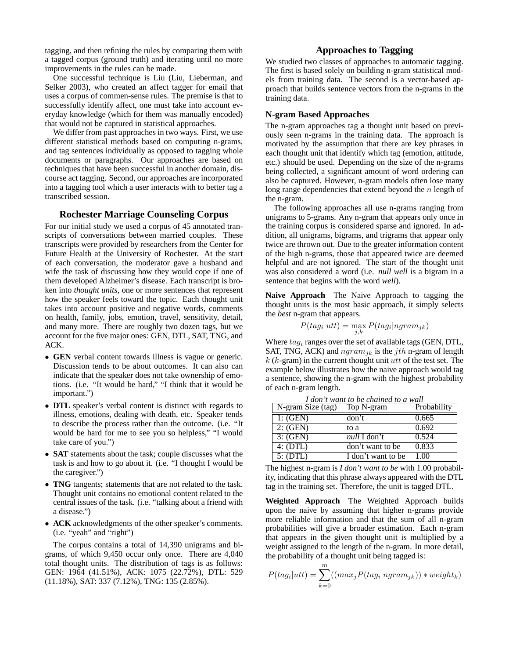tagging, and then refining the rules by comparing them with a tagged corpus (ground truth) and iterating until no more improvements in the rules can be made.

One successful technique is Liu (Liu, Lieberman, and Selker 2003), who created an affect tagger for email that uses a corpus of commen-sense rules. The premise is that to successfully identify affect, one must take into account everyday knowledge (which for them was manually encoded) that would not be captured in statistical approaches.

We differ from past approaches in two ways. First, we use different statistical methods based on computing n-grams, and tag sentences individually as opposed to tagging whole documents or paragraphs. Our approaches are based on techniques that have been successful in another domain, discourse act tagging. Second, our approaches are incorporated into a tagging tool which a user interacts with to better tag a transcribed session.

## **Rochester Marriage Counseling Corpus**

For our initial study we used a corpus of 45 annotated transcripts of conversations between married couples. These transcripts were provided by researchers from the Center for Future Health at the University of Rochester. At the start of each conversation, the moderator gave a husband and wife the task of discussing how they would cope if one of them developed Alzheimer's disease. Each transcript is broken into *thought units*, one or more sentences that represent how the speaker feels toward the topic. Each thought unit takes into account positive and negative words, comments on health, family, jobs, emotion, travel, sensitivity, detail, and many more. There are roughly two dozen tags, but we account for the five major ones: GEN, DTL, SAT, TNG, and ACK.

- **GEN** verbal content towards illness is vague or generic. Discussion tends to be about outcomes. It can also can indicate that the speaker does not take ownership of emotions. (i.e. "It would be hard," "I think that it would be important.")
- **DTL** speaker's verbal content is distinct with regards to illness, emotions, dealing with death, etc. Speaker tends to describe the process rather than the outcome. (i.e. "It would be hard for me to see you so helpless," "I would take care of you.")
- **SAT** statements about the task; couple discusses what the task is and how to go about it. (i.e. "I thought I would be the caregiver.")
- **TNG** tangents; statements that are not related to the task. Thought unit contains no emotional content related to the central issues of the task. (i.e. "talking about a friend with a disease.")
- **ACK** acknowledgments of the other speaker's comments. (i.e. "yeah" and "right")

The corpus contains a total of 14,390 unigrams and bigrams, of which 9,450 occur only once. There are 4,040 total thought units. The distribution of tags is as follows: GEN: 1964 (41.51%), ACK: 1075 (22.72%), DTL: 529 (11.18%), SAT: 337 (7.12%), TNG: 135 (2.85%).

# **Approaches to Tagging**

We studied two classes of approaches to automatic tagging. The first is based solely on building n-gram statistical models from training data. The second is a vector-based approach that builds sentence vectors from the n-grams in the training data.

#### **N-gram Based Approaches**

The n-gram approaches tag a thought unit based on previously seen n-grams in the training data. The approach is motivated by the assumption that there are key phrases in each thought unit that identify which tag (emotion, attitude, etc.) should be used. Depending on the size of the n-grams being collected, a significant amount of word ordering can also be captured. However, n-gram models often lose many long range dependencies that extend beyond the *n* length of the n-gram.

The following approaches all use n-grams ranging from unigrams to 5-grams. Any n-gram that appears only once in the training corpus is considered sparse and ignored. In addition, all unigrams, bigrams, and trigrams that appear only twice are thrown out. Due to the greater information content of the high n-grams, those that appeared twice are deemed helpful and are not ignored. The start of the thought unit was also considered a word (i.e. *null well* is a bigram in a sentence that begins with the word *well*).

**Naive Approach** The Naive Approach to tagging the thought units is the most basic approach, it simply selects the *best* n-gram that appears.

$$
P(tag_i|utt) = \max_{j,k} P(tag_i|ngram_{jk})
$$

Where  $tag_i$  ranges over the set of available tags (GEN, DTL, SAT, TNG, ACK) and  $ngram_{ik}$  is the jth n-gram of length  $k$  ( $k$ -gram) in the current thought unit  $utt$  of the test set. The example below illustrates how the naive approach would tag a sentence, showing the n-gram with the highest probability of each n-gram length.

| N-gram Size (tag)     | Top N-gram          | Probability |
|-----------------------|---------------------|-------------|
| $1:$ (GEN)            | don't               | 0.665       |
| 2: (GEN)              | to a                | 0.692       |
| $3:$ (GEN)            | <i>null</i> I don't | 0.524       |
| 4: (DTL)              | don't want to be    | 0.833       |
| $\overline{5: (DTL)}$ | I don't want to be  | 1.00        |

*I don't want to be chained to a wall*

The highest n-gram is *I don't want to be* with 1.00 probability, indicating that this phrase always appeared with the DTL tag in the training set. Therefore, the unit is tagged DTL.

**Weighted Approach** The Weighted Approach builds upon the naive by assuming that higher n-grams provide more reliable information and that the sum of all n-gram probabilities will give a broader estimation. Each n-gram that appears in the given thought unit is multiplied by a weight assigned to the length of the n-gram. In more detail, the probability of a thought unit being tagged is:

$$
P(tag_i|utt) = \sum_{k=0}^{m} ((max_j P(tag_i|ngram_{jk})) * weight_k)
$$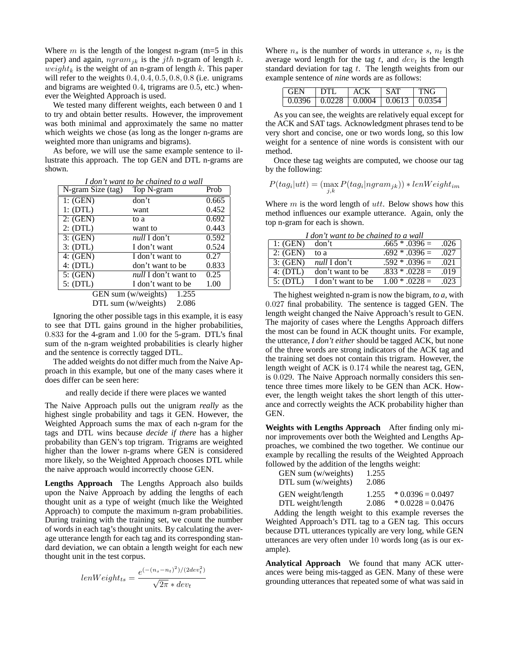Where  $m$  is the length of the longest n-gram (m=5 in this paper) and again,  $ngram_{ik}$  is the jth n-gram of length k.  $weight_k$  is the weight of an n-gram of length k. This paper will refer to the weights  $0.4, 0.4, 0.5, 0.8, 0.8$  (i.e. unigrams and bigrams are weighted 0.4, trigrams are 0.5, etc.) whenever the Weighted Approach is used.

We tested many different weights, each between 0 and 1 to try and obtain better results. However, the improvement was both minimal and approximately the same no matter which weights we chose (as long as the longer n-grams are weighted more than unigrams and bigrams).

As before, we will use the same example sentence to illustrate this approach. The top GEN and DTL n-grams are shown.

| N-gram Size (tag) | Top N-gram                   | Prob  |
|-------------------|------------------------------|-------|
| $1:$ (GEN)        | don't                        | 0.665 |
| 1: (DTL)          | want                         | 0.452 |
| $2:$ (GEN)        | to a                         | 0.692 |
| 2: (DTL)          | want to                      | 0.443 |
| $3:$ (GEN)        | <i>null</i> I don't          | 0.592 |
| 3: (DTL)          | I don't want                 | 0.524 |
| $4:$ (GEN)        | I don't want to              | 0.27  |
| 4: (DTL)          | don't want to be             | 0.833 |
| $5:$ (GEN)        | <i>null</i> I don't want to  | 0.25  |
| 5: (DTL)          | I don't want to be           | 1.00  |
|                   | GEN sum (w/weights)<br>1.255 |       |

*I don't want to be chained to a wall*

DTL sum (w/weights) 2.086

Ignoring the other possible tags in this example, it is easy to see that DTL gains ground in the higher probabilities, 0.833 for the 4-gram and 1.00 for the 5-gram. DTL's final sum of the n-gram weighted probabilities is clearly higher and the sentence is correctly tagged DTL.

The added weights do not differ much from the Naive Approach in this example, but one of the many cases where it does differ can be seen here:

and really decide if there were places we wanted

The Naive Approach pulls out the unigram *really* as the highest single probability and tags it GEN. However, the Weighted Approach sums the max of each n-gram for the tags and DTL wins because *decide if there* has a higher probability than GEN's top trigram. Trigrams are weighted higher than the lower n-grams where GEN is considered more likely, so the Weighted Approach chooses DTL while the naive approach would incorrectly choose GEN.

**Lengths Approach** The Lengths Approach also builds upon the Naive Approach by adding the lengths of each thought unit as a type of weight (much like the Weighted Approach) to compute the maximum n-gram probabilities. During training with the training set, we count the number of words in each tag's thought units. By calculating the average utterance length for each tag and its corresponding standard deviation, we can obtain a length weight for each new thought unit in the test corpus.

$$
lenWeight_{ts} = \frac{e^{(-(n_s - n_t)^2)/(2dev_t^2)}}{\sqrt{2\pi} * dev_t}
$$

Where  $n_s$  is the number of words in utterance s,  $n_t$  is the average word length for the tag  $t$ , and  $dev_t$  is the length standard deviation for tag  $t$ . The length weights from our example sentence of *nine* words are as follows:

| <b>GEN</b> | DTI                                        | ACK | <b>SAT</b> | TNG. |
|------------|--------------------------------------------|-----|------------|------|
|            | 0.0396   0.0228   0.0004   0.0613   0.0354 |     |            |      |

As you can see, the weights are relatively equal except for the ACK and SAT tags. Acknowledgment phrases tend to be very short and concise, one or two words long, so this low weight for a sentence of nine words is consistent with our method.

Once these tag weights are computed, we choose our tag by the following:

$$
P(tag_i|utt) = (\max_{j,k} P(tag_i|ngram_{jk})) * lenWeight_{im}
$$

Where  $m$  is the word length of  $utt$ . Below shows how this method influences our example utterance. Again, only the top n-gram for each is shown.

|            | I don't want to be chained to a wall |                  |      |  |
|------------|--------------------------------------|------------------|------|--|
| $1:$ (GEN) | don't                                | $.665 * .0396 =$ | .026 |  |
| 2: (GEN)   | to a                                 | $.692 * .0396 =$ | .027 |  |
| $3:$ (GEN) | <i>null</i> I don't                  | $.592 * .0396 =$ | .021 |  |
| 4: (DTL)   | don't want to be                     | $.833 * .0228 =$ | .019 |  |
| 5: (DTL)   | I don't want to be                   | $1.00 * .0228 =$ | .023 |  |

The highest weighted n-gram is now the bigram, *to a*, with 0.027 final probability. The sentence is tagged GEN. The length weight changed the Naive Approach's result to GEN. The majority of cases where the Lengths Approach differs the most can be found in ACK thought units. For example, the utterance, *I don't either* should be tagged ACK, but none of the three words are strong indicators of the ACK tag and the training set does not contain this trigram. However, the length weight of ACK is 0.174 while the nearest tag, GEN, is 0.029. The Naive Approach normally considers this sentence three times more likely to be GEN than ACK. However, the length weight takes the short length of this utterance and correctly weights the ACK probability higher than GEN.

**Weights with Lengths Approach** After finding only minor improvements over both the Weighted and Lengths Approaches, we combined the two together. We continue our example by recalling the results of the Weighted Approach followed by the addition of the lengths weight:

| GEN sum (w/weights)<br>DTL sum $(w/weights)$ | 1.255<br>2.086 |                    |
|----------------------------------------------|----------------|--------------------|
| GEN weight/length                            | 1.255          | $*0.0396 = 0.0497$ |
| DTL weight/length                            | 2.086          | $*0.0228 = 0.0476$ |

Adding the length weight to this example reverses the Weighted Approach's DTL tag to a GEN tag. This occurs because DTL utterances typically are very long, while GEN utterances are very often under 10 words long (as is our example).

**Analytical Approach** We found that many ACK utterances were being mis-tagged as GEN. Many of these were grounding utterances that repeated some of what was said in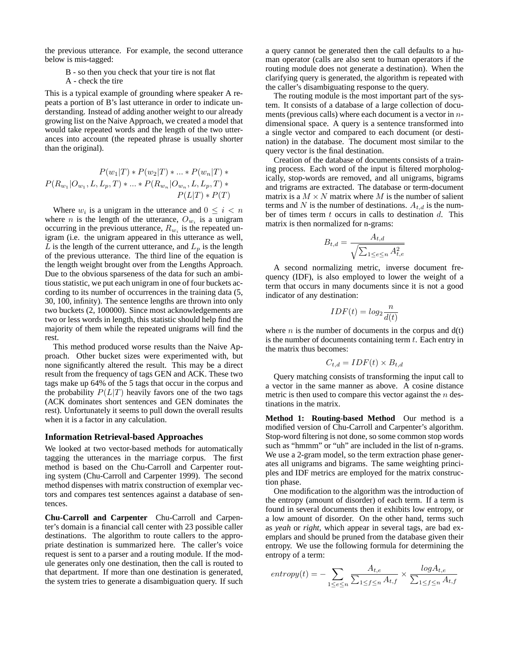the previous utterance. For example, the second utterance below is mis-tagged:

B - so then you check that your tire is not flat

A - check the tire

This is a typical example of grounding where speaker A repeats a portion of B's last utterance in order to indicate understanding. Instead of adding another weight to our already growing list on the Naive Approach, we created a model that would take repeated words and the length of the two utterances into account (the repeated phrase is usually shorter than the original).

$$
P(w_1|T) * P(w_2|T) * ... * P(w_n|T) * P(R_{w_1}|O_{w_1}, L, L_p, T) * ... * P(R_{w_n}|O_{w_n}, L, L_p, T) * P(L|T) * P(T)
$$

Where  $w_i$  is a unigram in the utterance and  $0 \leq i < n$ where *n* is the length of the utterance,  $O_{w_i}$  is a unigram occurring in the previous utterance,  $R_{w_i}$  is the repeated unigram (i.e. the unigram appeared in this utterance as well, L is the length of the current utterance, and  $L_p$  is the length of the previous utterance. The third line of the equation is the length weight brought over from the Lengths Approach. Due to the obvious sparseness of the data for such an ambitious statistic, we put each unigram in one of four buckets according to its number of occurrences in the training data (5, 30, 100, infinity). The sentence lengths are thrown into only two buckets (2, 100000). Since most acknowledgements are two or less words in length, this statistic should help find the majority of them while the repeated unigrams will find the rest.

This method produced worse results than the Naive Approach. Other bucket sizes were experimented with, but none significantly altered the result. This may be a direct result from the frequency of tags GEN and ACK. These two tags make up 64% of the 5 tags that occur in the corpus and the probability  $P(L|T)$  heavily favors one of the two tags (ACK dominates short sentences and GEN dominates the rest). Unfortunately it seems to pull down the overall results when it is a factor in any calculation.

#### **Information Retrieval-based Approaches**

We looked at two vector-based methods for automatically tagging the utterances in the marriage corpus. The first method is based on the Chu-Carroll and Carpenter routing system (Chu-Carroll and Carpenter 1999). The second method dispenses with matrix construction of exemplar vectors and compares test sentences against a database of sentences.

**Chu-Carroll and Carpenter** Chu-Carroll and Carpenter's domain is a financial call center with 23 possible caller destinations. The algorithm to route callers to the appropriate destination is summarized here. The caller's voice request is sent to a parser and a routing module. If the module generates only one destination, then the call is routed to that department. If more than one destination is generated, the system tries to generate a disambiguation query. If such

a query cannot be generated then the call defaults to a human operator (calls are also sent to human operators if the routing module does not generate a destination). When the clarifying query is generated, the algorithm is repeated with the caller's disambiguating response to the query.

The routing module is the most important part of the system. It consists of a database of a large collection of documents (previous calls) where each document is a vector in  $n$ dimensional space. A query is a sentence transformed into a single vector and compared to each document (or destination) in the database. The document most similar to the query vector is the final destination.

Creation of the database of documents consists of a training process. Each word of the input is filtered morphologically, stop-words are removed, and all unigrams, bigrams and trigrams are extracted. The database or term-document matrix is a  $M \times N$  matrix where M is the number of salient terms and N is the number of destinations.  $A_{t,d}$  is the number of times term  $t$  occurs in calls to destination  $d$ . This matrix is then normalized for n-grams:

$$
B_{t,d} = \frac{A_{t,d}}{\sqrt{\sum_{1 \le e \le n} A_{t,e}^2}}
$$

A second normalizing metric, inverse document frequency (IDF), is also employed to lower the weight of a term that occurs in many documents since it is not a good indicator of any destination:

$$
IDF(t) = log_2 \frac{n}{d(t)}
$$

where *n* is the number of documents in the corpus and  $d(t)$ is the number of documents containing term  $t$ . Each entry in the matrix thus becomes:

$$
C_{t,d} = IDF(t) \times B_{t,d}
$$

Query matching consists of transforming the input call to a vector in the same manner as above. A cosine distance metric is then used to compare this vector against the  $n$  destinations in the matrix.

**Method 1: Routing-based Method** Our method is a modified version of Chu-Carroll and Carpenter's algorithm. Stop-word filtering is not done, so some common stop words such as "hmmm" or "uh" are included in the list of n-grams. We use a 2-gram model, so the term extraction phase generates all unigrams and bigrams. The same weighting principles and IDF metrics are employed for the matrix construction phase.

One modification to the algorithm was the introduction of the entropy (amount of disorder) of each term. If a term is found in several documents then it exhibits low entropy, or a low amount of disorder. On the other hand, terms such as *yeah* or *right*, which appear in several tags, are bad exemplars and should be pruned from the database given their entropy. We use the following formula for determining the entropy of a term:

$$
entropy(t) = -\sum_{1 \le e \le n} \frac{A_{t,e}}{\sum_{1 \le f \le n} A_{t,f}} \times \frac{log A_{t,e}}{\sum_{1 \le f \le n} A_{t,f}}
$$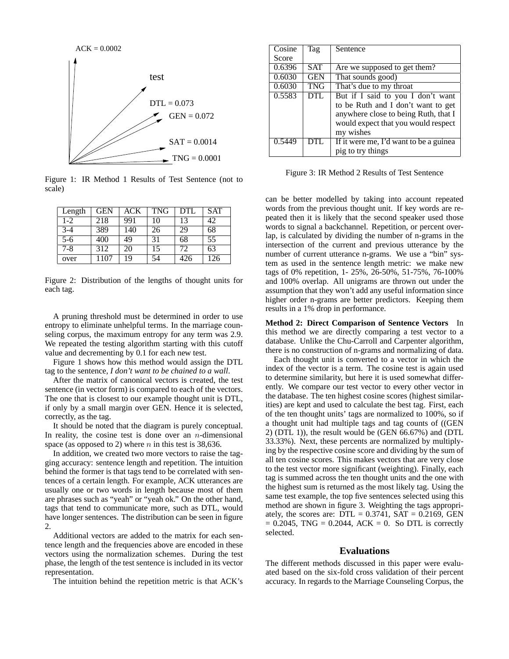

Figure 1: IR Method 1 Results of Test Sentence (not to scale)

| Length  | <b>GEN</b> | ACK | <b>TNG</b> | DTI. | <b>SAT</b> |
|---------|------------|-----|------------|------|------------|
| $1 - 2$ | 218        | 991 | 10         | 13   | 42         |
| $3-4$   | 389        | 140 | 26         | 29   | 68         |
| $5 - 6$ | 400        | 49  | 31         | 68   | 55         |
| $7 - 8$ | 312        | 20  | 15         | 72   | 63         |
| over    | 1107       | 19  | 54         | 426  | 126        |

Figure 2: Distribution of the lengths of thought units for each tag.

A pruning threshold must be determined in order to use entropy to eliminate unhelpful terms. In the marriage counseling corpus, the maximum entropy for any term was 2.9. We repeated the testing algorithm starting with this cutoff value and decrementing by 0.1 for each new test.

Figure 1 shows how this method would assign the DTL tag to the sentence, *I don't want to be chained to a wall*.

After the matrix of canonical vectors is created, the test sentence (in vector form) is compared to each of the vectors. The one that is closest to our example thought unit is DTL, if only by a small margin over GEN. Hence it is selected, correctly, as the tag.

It should be noted that the diagram is purely conceptual. In reality, the cosine test is done over an  $n$ -dimensional space (as opposed to 2) where  $n$  in this test is 38,636.

In addition, we created two more vectors to raise the tagging accuracy: sentence length and repetition. The intuition behind the former is that tags tend to be correlated with sentences of a certain length. For example, ACK utterances are usually one or two words in length because most of them are phrases such as "yeah" or "yeah ok." On the other hand, tags that tend to communicate more, such as DTL, would have longer sentences. The distribution can be seen in figure 2.

Additional vectors are added to the matrix for each sentence length and the frequencies above are encoded in these vectors using the normalization schemes. During the test phase, the length of the test sentence is included in its vector representation.

The intuition behind the repetition metric is that ACK's

| Cosine | Tag        | Sentence                               |
|--------|------------|----------------------------------------|
| Score  |            |                                        |
| 0.6396 | <b>SAT</b> | Are we supposed to get them?           |
| 0.6030 | <b>GEN</b> | That sounds good)                      |
| 0.6030 | <b>TNG</b> | That's due to my throat                |
| 0.5583 | <b>DTL</b> | But if I said to you I don't want      |
|        |            | to be Ruth and I don't want to get     |
|        |            | anywhere close to being Ruth, that I   |
|        |            | would expect that you would respect    |
|        |            | my wishes                              |
| 0.5449 | DTL        | If it were me, I'd want to be a guinea |
|        |            | pig to try things                      |

Figure 3: IR Method 2 Results of Test Sentence

can be better modelled by taking into account repeated words from the previous thought unit. If key words are repeated then it is likely that the second speaker used those words to signal a backchannel. Repetition, or percent overlap, is calculated by dividing the number of n-grams in the intersection of the current and previous utterance by the number of current utterance n-grams. We use a "bin" system as used in the sentence length metric: we make new tags of 0% repetition, 1- 25%, 26-50%, 51-75%, 76-100% and 100% overlap. All unigrams are thrown out under the assumption that they won't add any useful information since higher order n-grams are better predictors. Keeping them results in a 1% drop in performance.

**Method 2: Direct Comparison of Sentence Vectors** In this method we are directly comparing a test vector to a database. Unlike the Chu-Carroll and Carpenter algorithm, there is no construction of n-grams and normalizing of data.

Each thought unit is converted to a vector in which the index of the vector is a term. The cosine test is again used to determine similarity, but here it is used somewhat differently. We compare our test vector to every other vector in the database. The ten highest cosine scores (highest similarities) are kept and used to calculate the best tag. First, each of the ten thought units' tags are normalized to 100%, so if a thought unit had multiple tags and tag counts of ((GEN 2) (DTL 1)), the result would be (GEN 66.67%) and (DTL 33.33%). Next, these percents are normalized by multiplying by the respective cosine score and dividing by the sum of all ten cosine scores. This makes vectors that are very close to the test vector more significant (weighting). Finally, each tag is summed across the ten thought units and the one with the highest sum is returned as the most likely tag. Using the same test example, the top five sentences selected using this method are shown in figure 3. Weighting the tags appropriately, the scores are:  $DTL = 0.3741$ ,  $SAT = 0.2169$ , GEN  $= 0.2045$ , TNG  $= 0.2044$ , ACK  $= 0$ . So DTL is correctly selected.

#### **Evaluations**

The different methods discussed in this paper were evaluated based on the six-fold cross validation of their percent accuracy. In regards to the Marriage Counseling Corpus, the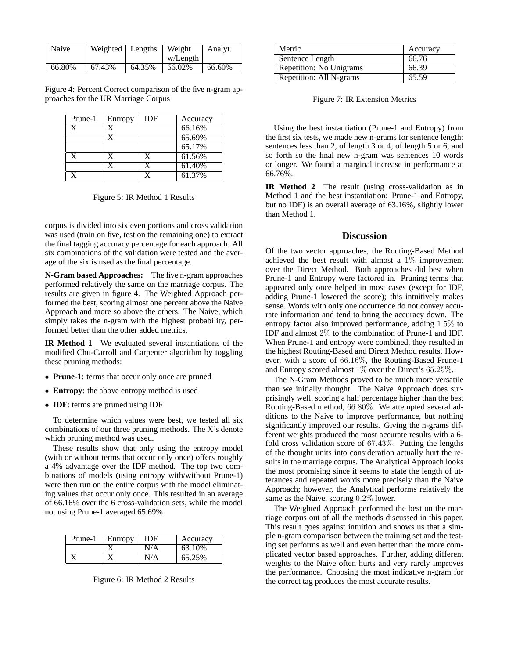| Naive  | Weighted   Lengths |        | Weight   | Analyt. |
|--------|--------------------|--------|----------|---------|
|        |                    |        | w/Length |         |
| 66.80% | 67.43%             | 64.35% | 66.02%   | 66.60%  |

Figure 4: Percent Correct comparison of the five n-gram approaches for the UR Marriage Corpus

| Prune-1      | Entropy | IDF | Accuracy |
|--------------|---------|-----|----------|
| X            |         |     | 66.16%   |
|              |         |     | 65.69%   |
|              |         |     | 65.17%   |
| $\mathbf{x}$ | X       | X   | 61.56%   |
|              |         |     | 61.40%   |
|              |         |     | 61.37%   |

Figure 5: IR Method 1 Results

corpus is divided into six even portions and cross validation was used (train on five, test on the remaining one) to extract the final tagging accuracy percentage for each approach. All six combinations of the validation were tested and the average of the six is used as the final percentage.

**N-Gram based Approaches:** The five n-gram approaches performed relatively the same on the marriage corpus. The results are given in figure 4. The Weighted Approach performed the best, scoring almost one percent above the Naive Approach and more so above the others. The Naive, which simply takes the n-gram with the highest probability, performed better than the other added metrics.

**IR Method 1** We evaluated several instantiations of the modified Chu-Carroll and Carpenter algorithm by toggling these pruning methods:

- **Prune-1**: terms that occur only once are pruned
- **Entropy**: the above entropy method is used
- **IDF**: terms are pruned using IDF

To determine which values were best, we tested all six combinations of our three pruning methods. The X's denote which pruning method was used.

These results show that only using the entropy model (with or without terms that occur only once) offers roughly a 4% advantage over the IDF method. The top two combinations of models (using entropy with/without Prune-1) were then run on the entire corpus with the model eliminating values that occur only once. This resulted in an average of 66.16% over the 6 cross-validation sets, while the model not using Prune-1 averaged 65.69%.

| Prune-1 | Entropy | IDF | Accuracy |
|---------|---------|-----|----------|
|         |         |     | 63.10%   |
|         |         |     | 65.25%   |

Figure 6: IR Method 2 Results

| Metric                  | Accuracy |
|-------------------------|----------|
| Sentence Length         | 66.76    |
| Repetition: No Unigrams | 66.39    |
| Repetition: All N-grams | 65.59    |

Figure 7: IR Extension Metrics

Using the best instantiation (Prune-1 and Entropy) from the first six tests, we made new n-grams for sentence length: sentences less than 2, of length 3 or 4, of length 5 or 6, and so forth so the final new n-gram was sentences 10 words or longer. We found a marginal increase in performance at 66.76%.

**IR Method 2** The result (using cross-validation as in Method 1 and the best instantiation: Prune-1 and Entropy, but no IDF) is an overall average of 63.16%, slightly lower than Method 1.

## **Discussion**

Of the two vector approaches, the Routing-Based Method achieved the best result with almost a  $1\%$  improvement over the Direct Method. Both approaches did best when Prune-1 and Entropy were factored in. Pruning terms that appeared only once helped in most cases (except for IDF, adding Prune-1 lowered the score); this intuitively makes sense. Words with only one occurrence do not convey accurate information and tend to bring the accuracy down. The entropy factor also improved performance, adding 1.5% to IDF and almost 2% to the combination of Prune-1 and IDF. When Prune-1 and entropy were combined, they resulted in the highest Routing-Based and Direct Method results. However, with a score of 66.16%, the Routing-Based Prune-1 and Entropy scored almost 1% over the Direct's 65.25%.

The N-Gram Methods proved to be much more versatile than we initially thought. The Naive Approach does surprisingly well, scoring a half percentage higher than the best Routing-Based method, 66.80%. We attempted several additions to the Naive to improve performance, but nothing significantly improved our results. Giving the n-grams different weights produced the most accurate results with a 6 fold cross validation score of 67.43%. Putting the lengths of the thought units into consideration actually hurt the results in the marriage corpus. The Analytical Approach looks the most promising since it seems to state the length of utterances and repeated words more precisely than the Naive Approach; however, the Analytical performs relatively the same as the Naive, scoring 0.2% lower.

The Weighted Approach performed the best on the marriage corpus out of all the methods discussed in this paper. This result goes against intuition and shows us that a simple n-gram comparison between the training set and the testing set performs as well and even better than the more complicated vector based approaches. Further, adding different weights to the Naive often hurts and very rarely improves the performance. Choosing the most indicative n-gram for the correct tag produces the most accurate results.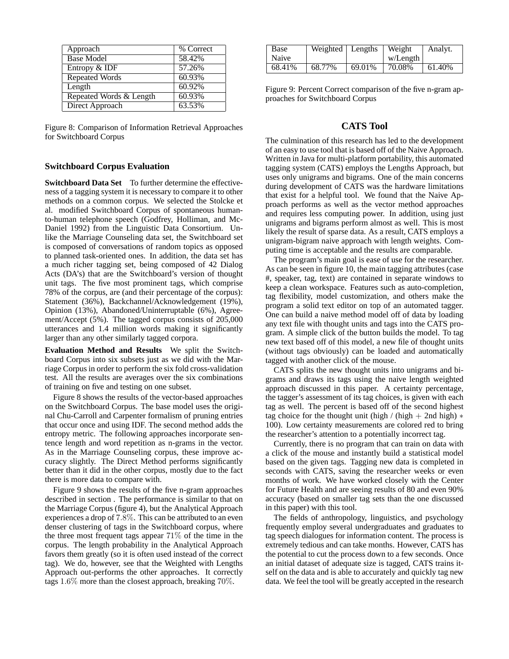| Approach                | % Correct |
|-------------------------|-----------|
| <b>Base Model</b>       | 58.42%    |
| Entropy & IDF           | 57.26%    |
| <b>Repeated Words</b>   | 60.93%    |
| Length                  | 60.92%    |
| Repeated Words & Length | 60.93%    |
| Direct Approach         | 63.53%    |

Figure 8: Comparison of Information Retrieval Approaches for Switchboard Corpus

## **Switchboard Corpus Evaluation**

**Switchboard Data Set** To further determine the effectiveness of a tagging system it is necessary to compare it to other methods on a common corpus. We selected the Stolcke et al. modified Switchboard Corpus of spontaneous humanto-human telephone speech (Godfrey, Holliman, and Mc-Daniel 1992) from the Linguistic Data Consortium. Unlike the Marriage Counseling data set, the Switchboard set is composed of conversations of random topics as opposed to planned task-oriented ones. In addition, the data set has a much richer tagging set, being composed of 42 Dialog Acts (DA's) that are the Switchboard's version of thought unit tags. The five most prominent tags, which comprise 78% of the corpus, are (and their percentage of the corpus): Statement (36%), Backchannel/Acknowledgement (19%), Opinion (13%), Abandoned/Uninterruptable (6%), Agreement/Accept (5%). The tagged corpus consists of 205,000 utterances and 1.4 million words making it significantly larger than any other similarly tagged corpora.

**Evaluation Method and Results** We split the Switchboard Corpus into six subsets just as we did with the Marriage Corpus in order to perform the six fold cross-validation test. All the results are averages over the six combinations of training on five and testing on one subset.

Figure 8 shows the results of the vector-based approaches on the Switchboard Corpus. The base model uses the original Chu-Carroll and Carpenter formalism of pruning entries that occur once and using IDF. The second method adds the entropy metric. The following approaches incorporate sentence length and word repetition as n-grams in the vector. As in the Marriage Counseling corpus, these improve accuracy slightly. The Direct Method performs significantly better than it did in the other corpus, mostly due to the fact there is more data to compare with.

Figure 9 shows the results of the five n-gram approaches described in section . The performance is similar to that on the Marriage Corpus (figure 4), but the Analytical Approach experiences a drop of 7.8%. This can be attributed to an even denser clustering of tags in the Switchboard corpus, where the three most frequent tags appear 71% of the time in the corpus. The length probability in the Analytical Approach favors them greatly (so it is often used instead of the correct tag). We do, however, see that the Weighted with Lengths Approach out-performs the other approaches. It correctly tags 1.6% more than the closest approach, breaking 70%.

| Base   | Weighted Lengths |        | Weight   | Analyt. |
|--------|------------------|--------|----------|---------|
| Naive  |                  |        | w/Length |         |
| 68.41% | 68.77%           | 69.01% | 70.08%   | 61.40%  |

Figure 9: Percent Correct comparison of the five n-gram approaches for Switchboard Corpus

## **CATS Tool**

The culmination of this research has led to the development of an easy to use tool that is based off of the Naive Approach. Written in Java for multi-platform portability, this automated tagging system (CATS) employs the Lengths Approach, but uses only unigrams and bigrams. One of the main concerns during development of CATS was the hardware limitations that exist for a helpful tool. We found that the Naive Approach performs as well as the vector method approaches and requires less computing power. In addition, using just unigrams and bigrams perform almost as well. This is most likely the result of sparse data. As a result, CATS employs a unigram-bigram naive approach with length weights. Computing time is acceptable and the results are comparable.

The program's main goal is ease of use for the researcher. As can be seen in figure 10, the main tagging attributes (case #, speaker, tag, text) are contained in separate windows to keep a clean workspace. Features such as auto-completion, tag flexibility, model customization, and others make the program a solid text editor on top of an automated tagger. One can build a naive method model off of data by loading any text file with thought units and tags into the CATS program. A simple click of the button builds the model. To tag new text based off of this model, a new file of thought units (without tags obviously) can be loaded and automatically tagged with another click of the mouse.

CATS splits the new thought units into unigrams and bigrams and draws its tags using the naive length weighted approach discussed in this paper. A certainty percentage, the tagger's assessment of its tag choices, is given with each tag as well. The percent is based off of the second highest tag choice for the thought unit (high / (high + 2nd high)  $*$ 100). Low certainty measurements are colored red to bring the researcher's attention to a potentially incorrect tag.

Currently, there is no program that can train on data with a click of the mouse and instantly build a statistical model based on the given tags. Tagging new data is completed in seconds with CATS, saving the researcher weeks or even months of work. We have worked closely with the Center for Future Health and are seeing results of 80 and even 90% accuracy (based on smaller tag sets than the one discussed in this paper) with this tool.

The fields of anthropology, linguistics, and psychology frequently employ several undergraduates and graduates to tag speech dialogues for information content. The process is extremely tedious and can take months. However, CATS has the potential to cut the process down to a few seconds. Once an initial dataset of adequate size is tagged, CATS trains itself on the data and is able to accurately and quickly tag new data. We feel the tool will be greatly accepted in the research